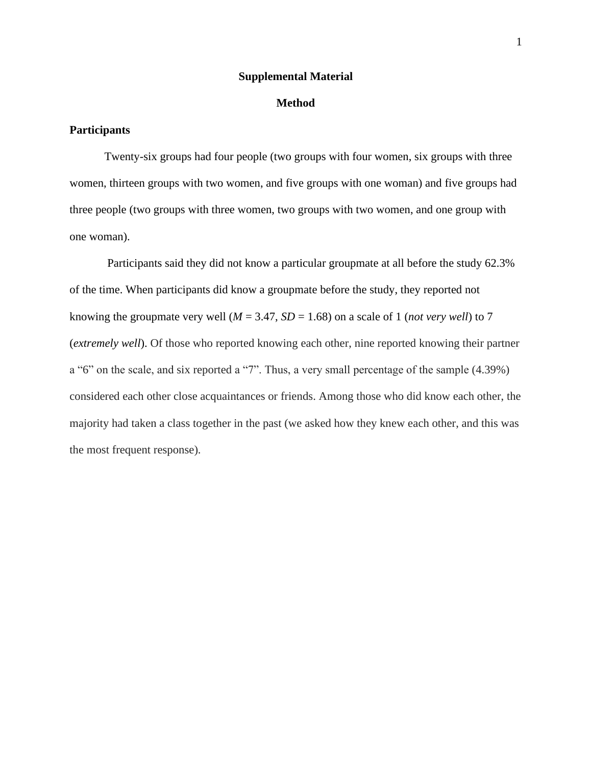#### **Supplemental Material**

# **Method**

# **Participants**

Twenty-six groups had four people (two groups with four women, six groups with three women, thirteen groups with two women, and five groups with one woman) and five groups had three people (two groups with three women, two groups with two women, and one group with one woman).

Participants said they did not know a particular groupmate at all before the study 62.3% of the time. When participants did know a groupmate before the study, they reported not knowing the groupmate very well ( $M = 3.47$ ,  $SD = 1.68$ ) on a scale of 1 (*not very well*) to 7 (*extremely well*). Of those who reported knowing each other, nine reported knowing their partner a "6" on the scale, and six reported a "7". Thus, a very small percentage of the sample (4.39%) considered each other close acquaintances or friends. Among those who did know each other, the majority had taken a class together in the past (we asked how they knew each other, and this was the most frequent response).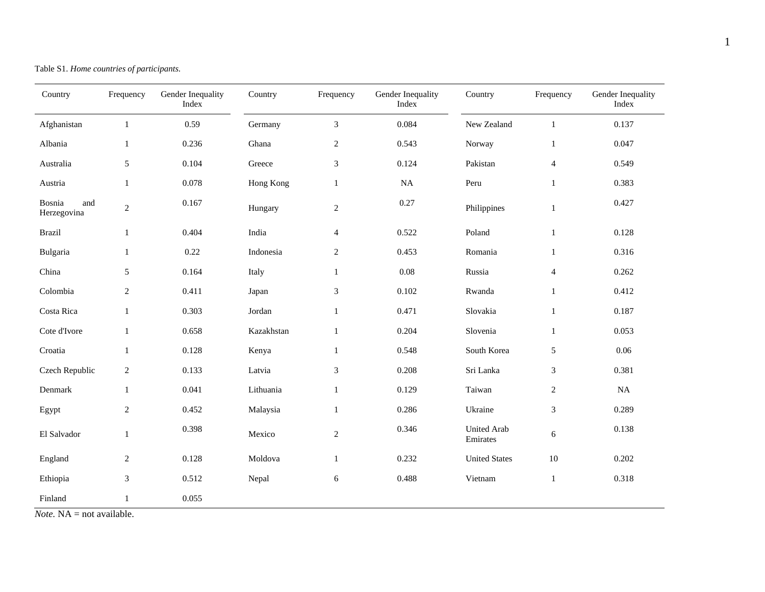| Country                      | Frequency      | Gender Inequality<br>Index | Country    | Frequency                   | Gender Inequality<br>Index | Country                        | Frequency               | Gender Inequality<br>Index |
|------------------------------|----------------|----------------------------|------------|-----------------------------|----------------------------|--------------------------------|-------------------------|----------------------------|
| Afghanistan                  | $\mathbf{1}$   | 0.59                       | Germany    | $\mathfrak{Z}$              | 0.084                      | New Zealand                    | $\mathbf{1}$            | 0.137                      |
| Albania                      | $\mathbf{1}$   | 0.236                      | Ghana      | $\sqrt{2}$                  | 0.543                      | Norway                         | $\mathbf{1}$            | 0.047                      |
| Australia                    | $\sqrt{5}$     | 0.104                      | Greece     | $\mathfrak{Z}$              | 0.124                      | Pakistan                       | $\overline{\mathbf{4}}$ | 0.549                      |
| Austria                      | $\mathbf{1}$   | 0.078                      | Hong Kong  | $\mathbf{1}$                | <b>NA</b>                  | Peru                           | $\mathbf{1}$            | 0.383                      |
| Bosnia<br>and<br>Herzegovina | $\overline{2}$ | 0.167                      | Hungary    | $\sqrt{2}$                  | 0.27                       | Philippines                    | $\mathbf{1}$            | 0.427                      |
| <b>Brazil</b>                | $\mathbf{1}$   | 0.404                      | India      | $\overline{4}$              | 0.522                      | Poland                         | $\mathbf 1$             | 0.128                      |
| Bulgaria                     | $\mathbf{1}$   | 0.22                       | Indonesia  | $\overline{2}$              | 0.453                      | Romania                        | $\mathbf{1}$            | 0.316                      |
| China                        | 5              | 0.164                      | Italy      | $\mathbf{1}$                | 0.08                       | Russia                         | $\overline{4}$          | 0.262                      |
| Colombia                     | $\sqrt{2}$     | 0.411                      | Japan      | $\ensuremath{\mathfrak{Z}}$ | 0.102                      | Rwanda                         | $\mathbf{1}$            | 0.412                      |
| Costa Rica                   | $\mathbf{1}$   | 0.303                      | Jordan     | $\,1\,$                     | 0.471                      | Slovakia                       | $\mathbf{1}$            | 0.187                      |
| Cote d'Ivore                 | $\mathbf{1}$   | 0.658                      | Kazakhstan | $\mathbf{1}$                | 0.204                      | Slovenia                       | $\mathbf{1}$            | 0.053                      |
| Croatia                      | $\mathbf{1}$   | 0.128                      | Kenya      | $\mathbf{1}$                | 0.548                      | South Korea                    | 5                       | 0.06                       |
| Czech Republic               | $\sqrt{2}$     | 0.133                      | Latvia     | $\mathfrak{Z}$              | 0.208                      | Sri Lanka                      | 3                       | 0.381                      |
| Denmark                      | $\mathbf{1}$   | 0.041                      | Lithuania  | $\mathbf{1}$                | 0.129                      | Taiwan                         | $\overline{c}$          | $\rm NA$                   |
| Egypt                        | $\mathbf{2}$   | 0.452                      | Malaysia   | $\mathbf{1}$                | 0.286                      | Ukraine                        | 3                       | 0.289                      |
| El Salvador                  | $\mathbf{1}$   | 0.398                      | Mexico     | $\sqrt{2}$                  | 0.346                      | <b>United Arab</b><br>Emirates | 6                       | 0.138                      |
| England                      | $\sqrt{2}$     | 0.128                      | Moldova    | $\,1\,$                     | 0.232                      | <b>United States</b>           | $10\,$                  | 0.202                      |
| Ethiopia                     | 3              | 0.512                      | Nepal      | 6                           | 0.488                      | Vietnam                        | $\mathbf{1}$            | 0.318                      |
| Finland                      | $\mathbf{1}$   | 0.055                      |            |                             |                            |                                |                         |                            |

Table S1. *Home countries of participants.*

*Note.* NA = not available.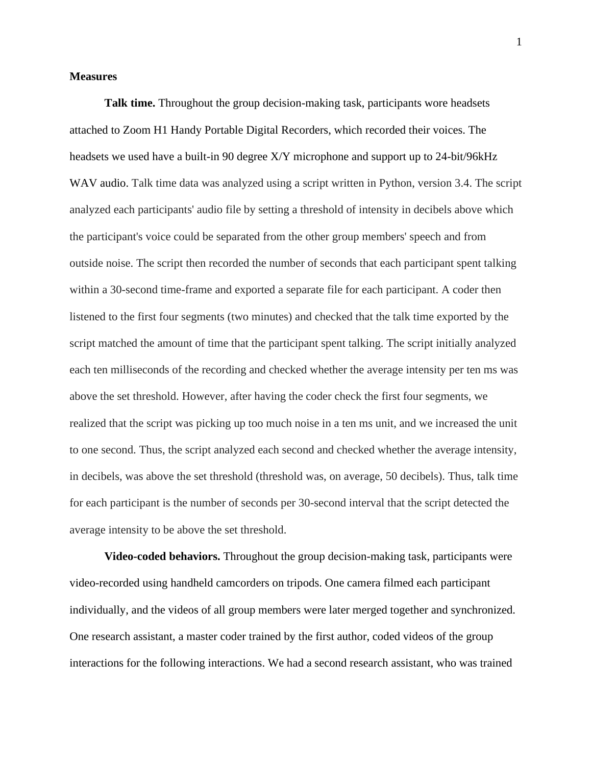# **Measures**

**Talk time.** Throughout the group decision-making task, participants wore headsets attached to [Zoom H1 Handy Portable Digital Recorders](https://smile.amazon.com/gp/product/B003QKBVYK/ref=ppx_yo_dt_b_search_asin_title?ie=UTF8&psc=1), which recorded their voices. The headsets we used have a built-in 90 degree X/Y microphone and support up to 24-bit/96kHz WAV audio. Talk time data was analyzed using a script written in Python, version 3.4. The script analyzed each participants' audio file by setting a threshold of intensity in decibels above which the participant's voice could be separated from the other group members' speech and from outside noise. The script then recorded the number of seconds that each participant spent talking within a 30-second time-frame and exported a separate file for each participant. A coder then listened to the first four segments (two minutes) and checked that the talk time exported by the script matched the amount of time that the participant spent talking. The script initially analyzed each ten milliseconds of the recording and checked whether the average intensity per ten ms was above the set threshold. However, after having the coder check the first four segments, we realized that the script was picking up too much noise in a ten ms unit, and we increased the unit to one second. Thus, the script analyzed each second and checked whether the average intensity, in decibels, was above the set threshold (threshold was, on average, 50 decibels). Thus, talk time for each participant is the number of seconds per 30-second interval that the script detected the average intensity to be above the set threshold.

**Video-coded behaviors.** Throughout the group decision-making task, participants were video-recorded using handheld camcorders on tripods. One camera filmed each participant individually, and the videos of all group members were later merged together and synchronized. One research assistant, a master coder trained by the first author, coded videos of the group interactions for the following interactions. We had a second research assistant, who was trained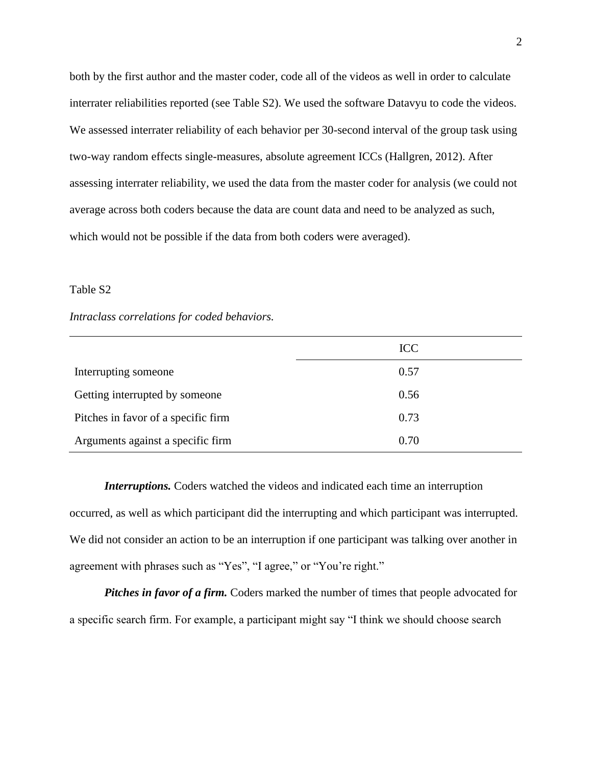both by the first author and the master coder, code all of the videos as well in order to calculate interrater reliabilities reported (see Table S2). We used the software Datavyu to code the videos. We assessed interrater reliability of each behavior per 30-second interval of the group task using two-way random effects single-measures, absolute agreement ICCs (Hallgren, 2012). After assessing interrater reliability, we used the data from the master coder for analysis (we could not average across both coders because the data are count data and need to be analyzed as such, which would not be possible if the data from both coders were averaged).

# Table S2

## *Intraclass correlations for coded behaviors.*

|                                     | <b>ICC</b> |
|-------------------------------------|------------|
| Interrupting someone                | 0.57       |
| Getting interrupted by someone      | 0.56       |
| Pitches in favor of a specific firm | 0.73       |
| Arguments against a specific firm   | 0.70       |

*Interruptions.* Coders watched the videos and indicated each time an interruption occurred, as well as which participant did the interrupting and which participant was interrupted. We did not consider an action to be an interruption if one participant was talking over another in agreement with phrases such as "Yes", "I agree," or "You're right."

*Pitches in favor of a firm.* Coders marked the number of times that people advocated for a specific search firm. For example, a participant might say "I think we should choose search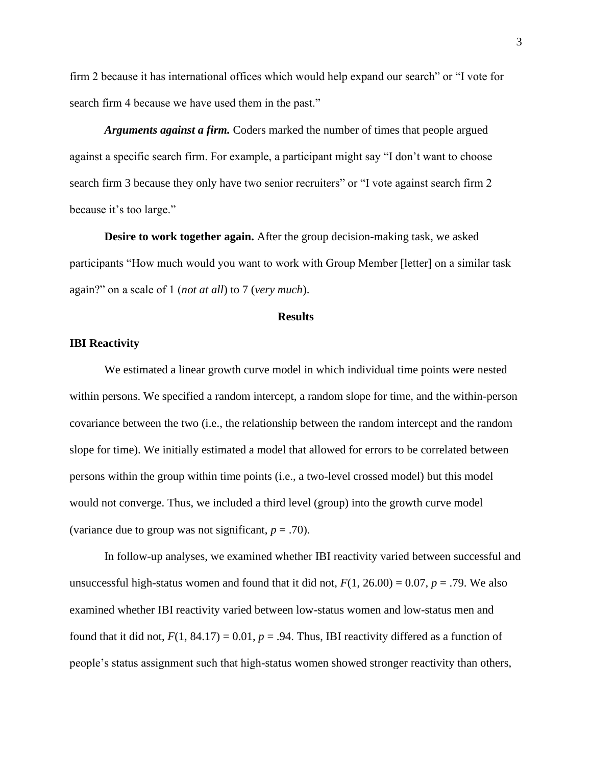firm 2 because it has international offices which would help expand our search" or "I vote for search firm 4 because we have used them in the past."

*Arguments against a firm.* Coders marked the number of times that people argued against a specific search firm. For example, a participant might say "I don't want to choose search firm 3 because they only have two senior recruiters" or "I vote against search firm 2 because it's too large."

**Desire to work together again.** After the group decision-making task, we asked participants "How much would you want to work with Group Member [letter] on a similar task again?" on a scale of 1 (*not at all*) to 7 (*very much*).

#### **Results**

## **IBI Reactivity**

We estimated a linear growth curve model in which individual time points were nested within persons. We specified a random intercept, a random slope for time, and the within-person covariance between the two (i.e., the relationship between the random intercept and the random slope for time). We initially estimated a model that allowed for errors to be correlated between persons within the group within time points (i.e., a two-level crossed model) but this model would not converge. Thus, we included a third level (group) into the growth curve model (variance due to group was not significant,  $p = .70$ ).

In follow-up analyses, we examined whether IBI reactivity varied between successful and unsuccessful high-status women and found that it did not,  $F(1, 26.00) = 0.07$ ,  $p = .79$ . We also examined whether IBI reactivity varied between low-status women and low-status men and found that it did not,  $F(1, 84.17) = 0.01$ ,  $p = .94$ . Thus, IBI reactivity differed as a function of people's status assignment such that high-status women showed stronger reactivity than others,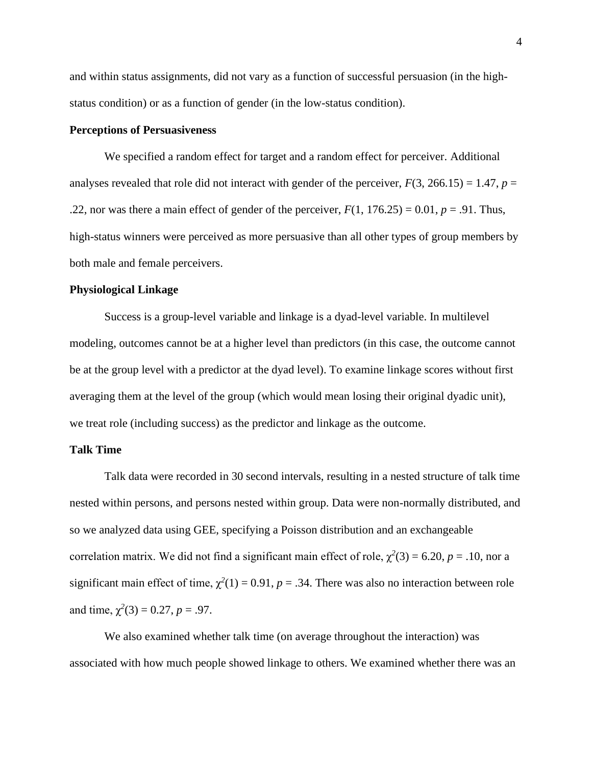and within status assignments, did not vary as a function of successful persuasion (in the highstatus condition) or as a function of gender (in the low-status condition).

# **Perceptions of Persuasiveness**

We specified a random effect for target and a random effect for perceiver. Additional analyses revealed that role did not interact with gender of the perceiver,  $F(3, 266.15) = 1.47$ ,  $p =$ .22, nor was there a main effect of gender of the perceiver,  $F(1, 176.25) = 0.01$ ,  $p = .91$ . Thus, high-status winners were perceived as more persuasive than all other types of group members by both male and female perceivers.

# **Physiological Linkage**

Success is a group-level variable and linkage is a dyad-level variable. In multilevel modeling, outcomes cannot be at a higher level than predictors (in this case, the outcome cannot be at the group level with a predictor at the dyad level). To examine linkage scores without first averaging them at the level of the group (which would mean losing their original dyadic unit), we treat role (including success) as the predictor and linkage as the outcome.

## **Talk Time**

Talk data were recorded in 30 second intervals, resulting in a nested structure of talk time nested within persons, and persons nested within group. Data were non-normally distributed, and so we analyzed data using GEE, specifying a Poisson distribution and an exchangeable correlation matrix. We did not find a significant main effect of role,  $\chi^2(3) = 6.20$ ,  $p = .10$ , nor a significant main effect of time,  $\chi^2(1) = 0.91$ ,  $p = .34$ . There was also no interaction between role and time,  $\chi^2(3) = 0.27$ ,  $p = .97$ .

We also examined whether talk time (on average throughout the interaction) was associated with how much people showed linkage to others. We examined whether there was an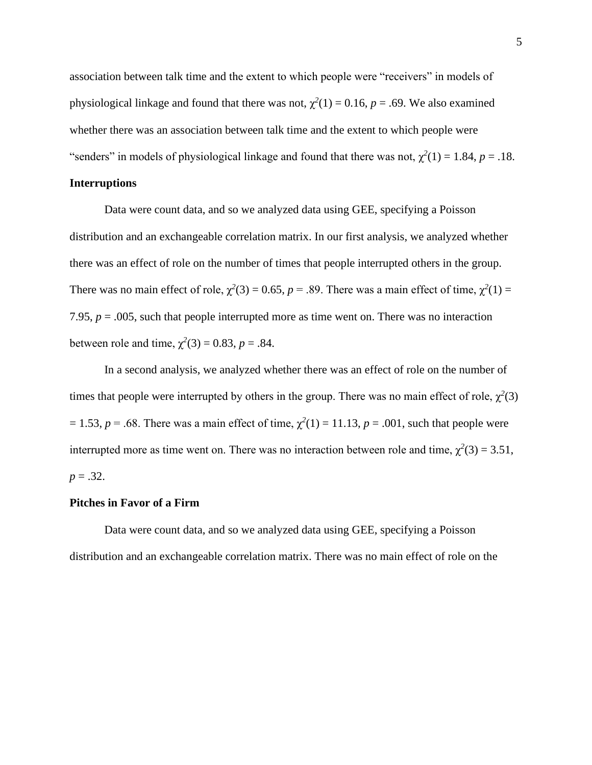association between talk time and the extent to which people were "receivers" in models of physiological linkage and found that there was not,  $\chi^2(1) = 0.16$ ,  $p = .69$ . We also examined whether there was an association between talk time and the extent to which people were "senders" in models of physiological linkage and found that there was not,  $\chi^2(1) = 1.84$ ,  $p = .18$ .

# **Interruptions**

Data were count data, and so we analyzed data using GEE, specifying a Poisson distribution and an exchangeable correlation matrix. In our first analysis, we analyzed whether there was an effect of role on the number of times that people interrupted others in the group. There was no main effect of role,  $\chi^2(3) = 0.65$ ,  $p = .89$ . There was a main effect of time,  $\chi^2(1) =$ 7.95,  $p = 0.005$ , such that people interrupted more as time went on. There was no interaction between role and time,  $\chi^2(3) = 0.83$ , *p* = .84.

In a second analysis, we analyzed whether there was an effect of role on the number of times that people were interrupted by others in the group. There was no main effect of role,  $\chi^2(3)$  $= 1.53$ ,  $p = .68$ . There was a main effect of time,  $\chi^2(1) = 11.13$ ,  $p = .001$ , such that people were interrupted more as time went on. There was no interaction between role and time,  $\chi^2(3) = 3.51$ ,  $p = .32$ .

#### **Pitches in Favor of a Firm**

Data were count data, and so we analyzed data using GEE, specifying a Poisson distribution and an exchangeable correlation matrix. There was no main effect of role on the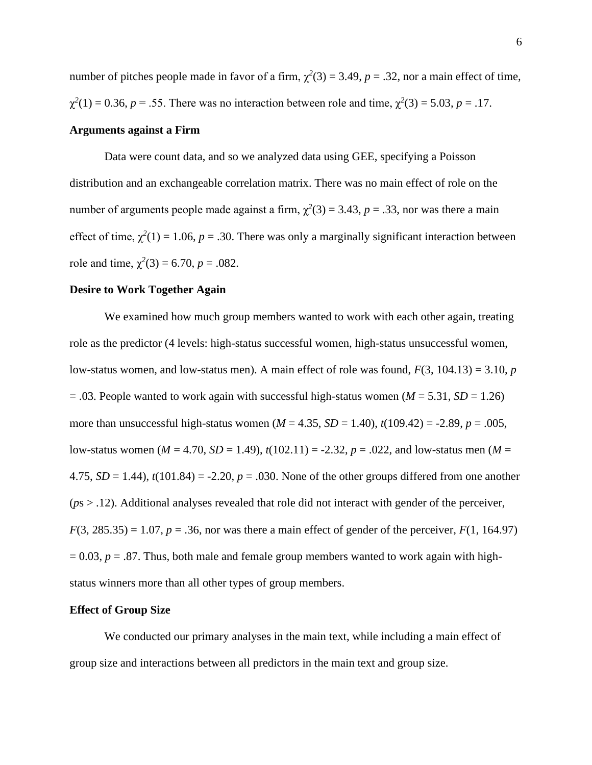number of pitches people made in favor of a firm,  $\chi^2(3) = 3.49$ ,  $p = .32$ , nor a main effect of time,  $χ<sup>2</sup>(1) = 0.36, p = .55$ . There was no interaction between role and time,  $χ<sup>2</sup>(3) = 5.03, p = .17$ .

#### **Arguments against a Firm**

Data were count data, and so we analyzed data using GEE, specifying a Poisson distribution and an exchangeable correlation matrix. There was no main effect of role on the number of arguments people made against a firm,  $\chi^2(3) = 3.43$ ,  $p = .33$ , nor was there a main effect of time,  $\chi^2(1) = 1.06$ ,  $p = .30$ . There was only a marginally significant interaction between role and time,  $\chi^2(3) = 6.70$ ,  $p = .082$ .

#### **Desire to Work Together Again**

We examined how much group members wanted to work with each other again, treating role as the predictor (4 levels: high-status successful women, high-status unsuccessful women, low-status women, and low-status men). A main effect of role was found, *F*(3, 104.13) = 3.10, *p*  $= .03$ . People wanted to work again with successful high-status women ( $M = 5.31$ ,  $SD = 1.26$ ) more than unsuccessful high-status women ( $M = 4.35$ ,  $SD = 1.40$ ),  $t(109.42) = -2.89$ ,  $p = .005$ , low-status women (*M* = 4.70, *SD* = 1.49), *t*(102.11) = -2.32, *p* = .022, and low-status men (*M* = 4.75,  $SD = 1.44$ ),  $t(101.84) = -2.20$ ,  $p = .030$ . None of the other groups differed from one another (*p*s > .12). Additional analyses revealed that role did not interact with gender of the perceiver,  $F(3, 285.35) = 1.07$ ,  $p = .36$ , nor was there a main effect of gender of the perceiver,  $F(1, 164.97)$  $= 0.03$ ,  $p = .87$ . Thus, both male and female group members wanted to work again with highstatus winners more than all other types of group members.

#### **Effect of Group Size**

We conducted our primary analyses in the main text, while including a main effect of group size and interactions between all predictors in the main text and group size.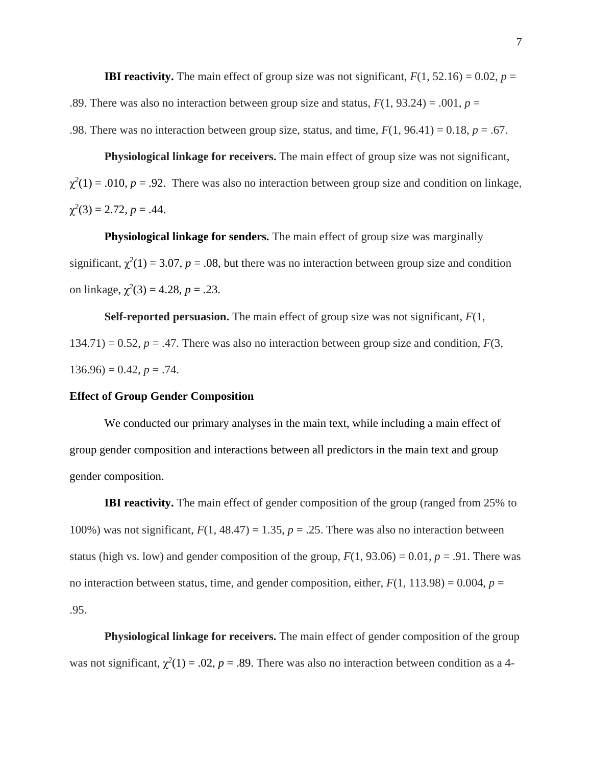**IBI reactivity.** The main effect of group size was not significant,  $F(1, 52.16) = 0.02$ ,  $p =$ .89. There was also no interaction between group size and status,  $F(1, 93.24) = .001$ ,  $p =$ .98. There was no interaction between group size, status, and time,  $F(1, 96.41) = 0.18$ ,  $p = .67$ .

**Physiological linkage for receivers.** The main effect of group size was not significant,  $\chi^2(1) = .010$ ,  $p = .92$ . There was also no interaction between group size and condition on linkage,  $\chi^2(3) = 2.72, p = .44.$ 

**Physiological linkage for senders.** The main effect of group size was marginally significant,  $\chi^2(1) = 3.07$ ,  $p = .08$ , but there was no interaction between group size and condition on linkage,  $\chi^2(3) = 4.28$ ,  $p = .23$ .

**Self-reported persuasion.** The main effect of group size was not significant, *F*(1,  $134.71$ ) = 0.52,  $p = .47$ . There was also no interaction between group size and condition,  $F(3, 1)$  $136.96$ ) = 0.42,  $p = .74$ .

#### **Effect of Group Gender Composition**

We conducted our primary analyses in the main text, while including a main effect of group gender composition and interactions between all predictors in the main text and group gender composition.

**IBI reactivity.** The main effect of gender composition of the group (ranged from 25% to 100%) was not significant,  $F(1, 48.47) = 1.35$ ,  $p = .25$ . There was also no interaction between status (high vs. low) and gender composition of the group,  $F(1, 93.06) = 0.01$ ,  $p = .91$ . There was no interaction between status, time, and gender composition, either,  $F(1, 113.98) = 0.004$ ,  $p =$ .95.

**Physiological linkage for receivers.** The main effect of gender composition of the group was not significant,  $\chi^2(1) = .02$ ,  $p = .89$ . There was also no interaction between condition as a 4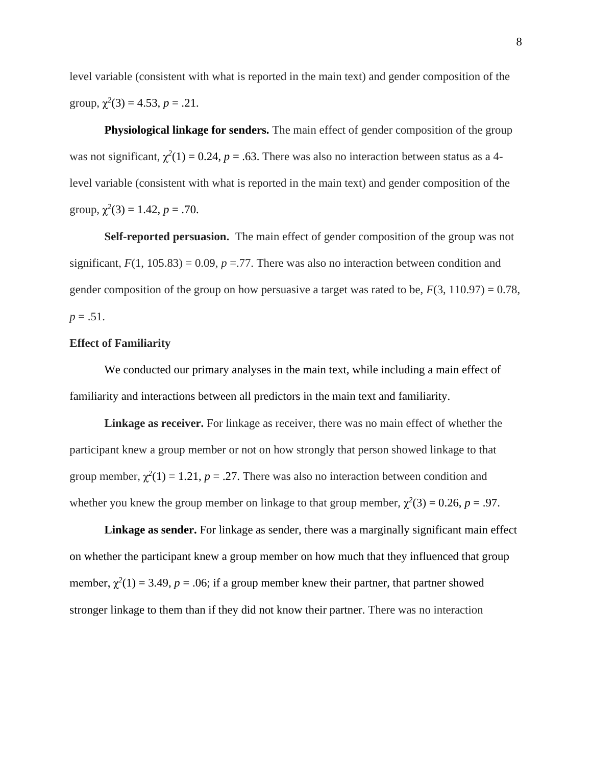level variable (consistent with what is reported in the main text) and gender composition of the group,  $\chi^2(3) = 4.53$ ,  $p = .21$ .

**Physiological linkage for senders.** The main effect of gender composition of the group was not significant,  $\chi^2(1) = 0.24$ ,  $p = .63$ . There was also no interaction between status as a 4level variable (consistent with what is reported in the main text) and gender composition of the group,  $\chi^2(3) = 1.42$ ,  $p = .70$ .

**Self-reported persuasion.** The main effect of gender composition of the group was not significant,  $F(1, 105.83) = 0.09$ ,  $p = .77$ . There was also no interaction between condition and gender composition of the group on how persuasive a target was rated to be,  $F(3, 110.97) = 0.78$ ,  $p = .51$ .

## **Effect of Familiarity**

We conducted our primary analyses in the main text, while including a main effect of familiarity and interactions between all predictors in the main text and familiarity.

**Linkage as receiver.** For linkage as receiver, there was no main effect of whether the participant knew a group member or not on how strongly that person showed linkage to that group member,  $\chi^2(1) = 1.21$ ,  $p = .27$ . There was also no interaction between condition and whether you knew the group member on linkage to that group member,  $\chi^2(3) = 0.26$ ,  $p = .97$ .

**Linkage as sender.** For linkage as sender, there was a marginally significant main effect on whether the participant knew a group member on how much that they influenced that group member,  $\chi^2(1) = 3.49$ ,  $p = .06$ ; if a group member knew their partner, that partner showed stronger linkage to them than if they did not know their partner. There was no interaction